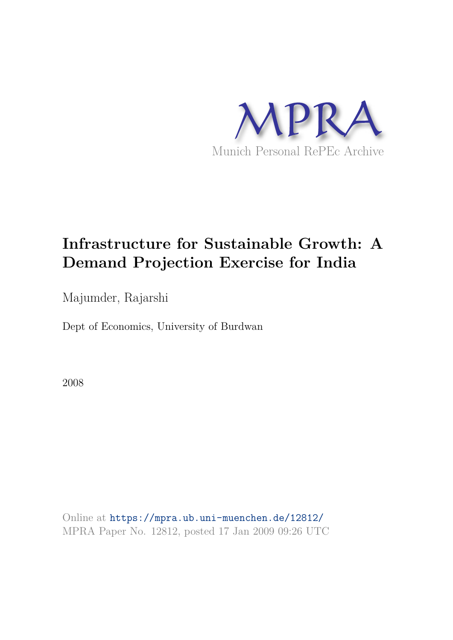

## **Infrastructure for Sustainable Growth: A Demand Projection Exercise for India**

Majumder, Rajarshi

Dept of Economics, University of Burdwan

2008

Online at https://mpra.ub.uni-muenchen.de/12812/ MPRA Paper No. 12812, posted 17 Jan 2009 09:26 UTC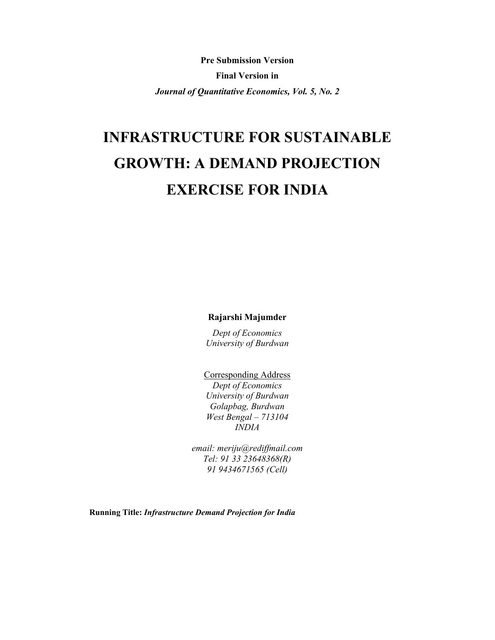**Pre Submission Version Final Version in** Journal of Quantitative Economics, Vol. 5, No. 2

# **INFRASTRUCTURE FOR SUSTAINABLE GROWTH: A DEMAND PROJECTION EXERCISE FOR INDIA**

Rajarshi Majumder

Dept of Economics University of Burdwan

**Corresponding Address** Dept of Economics

University of Burdwan Golapbag, Burdwan West Bengal  $-713104$ **INDIA** 

email: meriju@rediffmail.com Tel: 91 33 23648368(R) 91 9434671565 (Cell)

Running Title: Infrastructure Demand Projection for India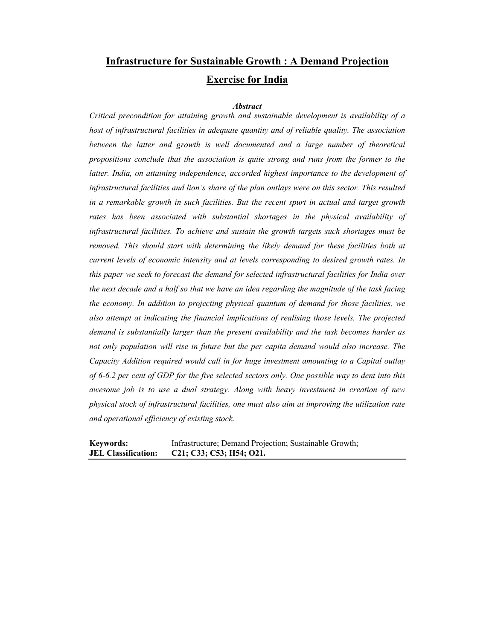## **Infrastructure for Sustainable Growth: A Demand Projection Exercise for India**

### **Abstract**

Critical precondition for attaining growth and sustainable development is availability of a host of infrastructural facilities in adequate quantity and of reliable quality. The association between the latter and growth is well documented and a large number of theoretical propositions conclude that the association is quite strong and runs from the former to the latter. India, on attaining independence, accorded highest importance to the development of infrastructural facilities and lion's share of the plan outlays were on this sector. This resulted in a remarkable growth in such facilities. But the recent spurt in actual and target growth rates has been associated with substantial shortages in the physical availability of infrastructural facilities. To achieve and sustain the growth targets such shortages must be removed. This should start with determining the likely demand for these facilities both at current levels of economic intensity and at levels corresponding to desired growth rates. In this paper we seek to forecast the demand for selected infrastructural facilities for India over the next decade and a half so that we have an idea regarding the magnitude of the task facing the economy. In addition to projecting physical quantum of demand for those facilities, we also attempt at indicating the financial implications of realising those levels. The projected demand is substantially larger than the present availability and the task becomes harder as not only population will rise in future but the per capita demand would also increase. The Capacity Addition required would call in for huge investment amounting to a Capital outlay of 6-6.2 per cent of GDP for the five selected sectors only. One possible way to dent into this awesome job is to use a dual strategy. Along with heavy investment in creation of new physical stock of infrastructural facilities, one must also aim at improving the utilization rate and operational efficiency of existing stock.

| <b>Keywords:</b>           | Infrastructure; Demand Projection; Sustainable Growth; |
|----------------------------|--------------------------------------------------------|
| <b>JEL Classification:</b> | C21; C33; C53; H54; O21.                               |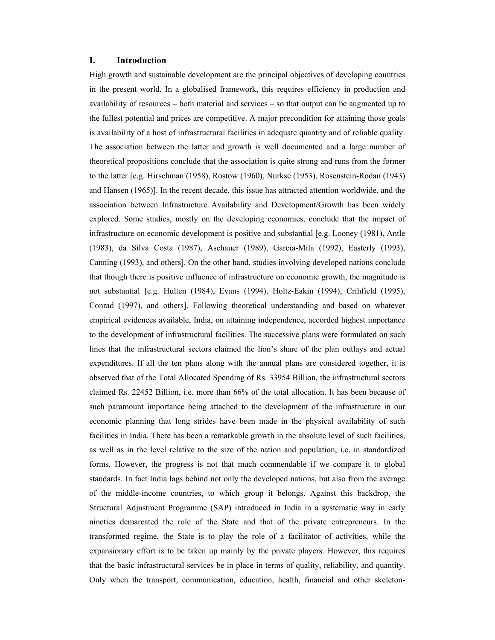#### L. **Introduction**

High growth and sustainable development are the principal objectives of developing countries in the present world. In a globalised framework, this requires efficiency in production and availability of resources – both material and services – so that output can be augmented up to the fullest potential and prices are competitive. A major precondition for attaining those goals is availability of a host of infrastructural facilities in adequate quantity and of reliable quality. The association between the latter and growth is well documented and a large number of theoretical propositions conclude that the association is quite strong and runs from the former to the latter [e.g. Hirschman (1958), Rostow (1960), Nurkse (1953), Rosenstein-Rodan (1943) and Hansen (1965)]. In the recent decade, this issue has attracted attention worldwide, and the association between Infrastructure Availability and Development/Growth has been widely explored. Some studies, mostly on the developing economies, conclude that the impact of infrastructure on economic development is positive and substantial [e.g. Looney (1981), Antle (1983), da Silva Costa (1987), Aschauer (1989), Garcia-Mila (1992), Easterly (1993), Canning (1993), and others]. On the other hand, studies involving developed nations conclude that though there is positive influence of infrastructure on economic growth, the magnitude is not substantial [e.g. Hulten (1984), Evans (1994), Holtz-Eakin (1994), Crihfield (1995), Conrad (1997), and others]. Following theoretical understanding and based on whatever empirical evidences available, India, on attaining independence, accorded highest importance to the development of infrastructural facilities. The successive plans were formulated on such lines that the infrastructural sectors claimed the lion's share of the plan outlays and actual expenditures. If all the ten plans along with the annual plans are considered together, it is observed that of the Total Allocated Spending of Rs. 33954 Billion, the infrastructural sectors claimed Rs. 22452 Billion, *i.e.* more than 66% of the total allocation. It has been because of such paramount importance being attached to the development of the infrastructure in our economic planning that long strides have been made in the physical availability of such facilities in India. There has been a remarkable growth in the absolute level of such facilities, as well as in the level relative to the size of the nation and population, *i.e.* in standardized forms. However, the progress is not that much commendable if we compare it to global standards. In fact India lags behind not only the developed nations, but also from the average of the middle-income countries, to which group it belongs. Against this backdrop, the Structural Adjustment Programme (SAP) introduced in India in a systematic way in early nineties demarcated the role of the State and that of the private entrepreneurs. In the transformed regime, the State is to play the role of a facilitator of activities, while the expansionary effort is to be taken up mainly by the private players. However, this requires that the basic infrastructural services be in place in terms of quality, reliability, and quantity. Only when the transport, communication, education, health, financial and other skeleton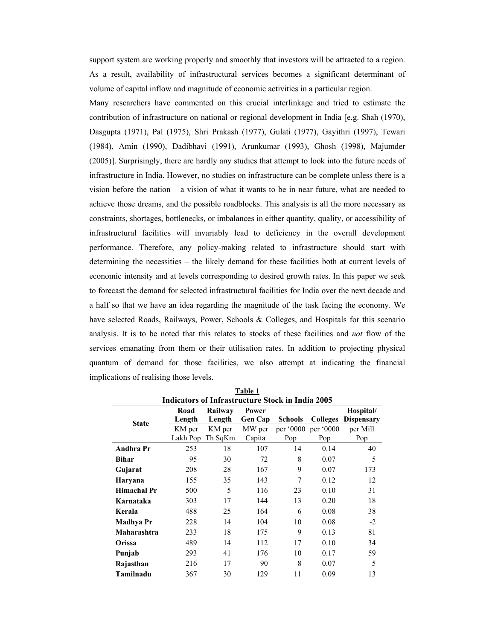support system are working properly and smoothly that investors will be attracted to a region. As a result, availability of infrastructural services becomes a significant determinant of volume of capital inflow and magnitude of economic activities in a particular region.

Many researchers have commented on this crucial interlinkage and tried to estimate the contribution of infrastructure on national or regional development in India [e.g. Shah (1970), Dasgupta (1971), Pal (1975), Shri Prakash (1977), Gulati (1977), Gayithri (1997), Tewari (1984), Amin (1990), Dadibhavi (1991), Arunkumar (1993), Ghosh (1998), Majumder (2005)]. Surprisingly, there are hardly any studies that attempt to look into the future needs of infrastructure in India. However, no studies on infrastructure can be complete unless there is a vision before the nation  $-$  a vision of what it wants to be in near future, what are needed to achieve those dreams, and the possible roadblocks. This analysis is all the more necessary as constraints, shortages, bottlenecks, or imbalances in either quantity, quality, or accessibility of infrastructural facilities will invariably lead to deficiency in the overall development performance. Therefore, any policy-making related to infrastructure should start with determining the necessities – the likely demand for these facilities both at current levels of economic intensity and at levels corresponding to desired growth rates. In this paper we seek to forecast the demand for selected infrastructural facilities for India over the next decade and a half so that we have an idea regarding the magnitude of the task facing the economy. We have selected Roads, Railways, Power, Schools & Colleges, and Hospitals for this scenario analysis. It is to be noted that this relates to stocks of these facilities and *not* flow of the services emanating from them or their utilisation rates. In addition to projecting physical quantum of demand for those facilities, we also attempt at indicating the financial implications of realising those levels.

|                                                         | Table 1            |                   |                         |                  |                  |                                |  |  |  |  |  |  |
|---------------------------------------------------------|--------------------|-------------------|-------------------------|------------------|------------------|--------------------------------|--|--|--|--|--|--|
| <b>Indicators of Infrastructure Stock in India 2005</b> |                    |                   |                         |                  |                  |                                |  |  |  |  |  |  |
| <b>State</b>                                            | Road<br>Length     | Railway<br>Length | Power<br><b>Gen Cap</b> | <b>Schools</b>   | <b>Colleges</b>  | Hospital/<br><b>Dispensary</b> |  |  |  |  |  |  |
|                                                         | KM per<br>Lakh Pop | KM per<br>Th SqKm | MW per<br>Capita        | per '0000<br>Pop | per '0000<br>Pop | per Mill<br>Pop                |  |  |  |  |  |  |
| <b>Andhra Pr</b>                                        | 253                | 18                | 107                     | 14               | 0.14             | 40                             |  |  |  |  |  |  |
| <b>Bihar</b>                                            | 95                 | 30                | 72                      | 8                | 0.07             | 5                              |  |  |  |  |  |  |
| Gujarat                                                 | 208                | 28                | 167                     | 9                | 0.07             | 173                            |  |  |  |  |  |  |
| Haryana                                                 | 155                | 35                | 143                     | 7                | 0.12             | 12                             |  |  |  |  |  |  |
| Himachal Pr                                             | 500                | 5                 | 116                     | 23               | 0.10             | 31                             |  |  |  |  |  |  |
| Karnataka                                               | 303                | 17                | 144                     | 13               | 0.20             | 18                             |  |  |  |  |  |  |
| Kerala                                                  | 488                | 25                | 164                     | 6                | 0.08             | 38                             |  |  |  |  |  |  |
| Madhya Pr                                               | 228                | 14                | 104                     | 10               | 0.08             | $-2$                           |  |  |  |  |  |  |
| Maharashtra                                             | 233                | 18                | 175                     | 9                | 0.13             | 81                             |  |  |  |  |  |  |
| <b>Orissa</b>                                           | 489                | 14                | 112                     | 17               | 0.10             | 34                             |  |  |  |  |  |  |
| Punjab                                                  | 293                | 41                | 176                     | 10               | 0.17             | 59                             |  |  |  |  |  |  |
| Rajasthan                                               | 216                | 17                | 90                      | 8                | 0.07             | 5                              |  |  |  |  |  |  |
| Tamilnadu                                               | 367                | 30                | 129                     | 11               | 0.09             | 13                             |  |  |  |  |  |  |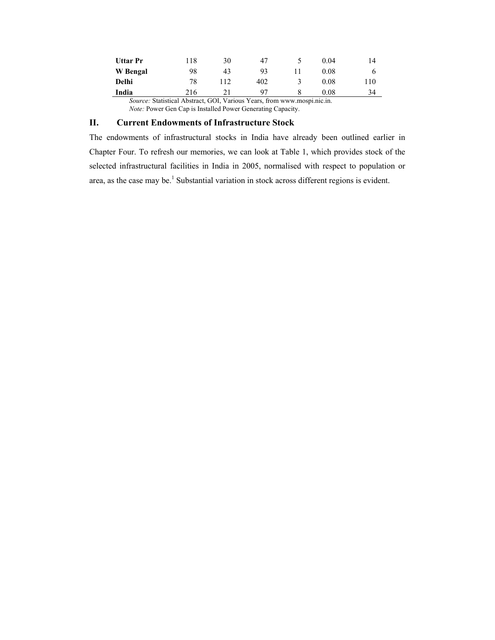| Uttar Pr     | 118                                                                         | 30 | 47  | 0 04 | 14  |
|--------------|-----------------------------------------------------------------------------|----|-----|------|-----|
| W Bengal     | 98                                                                          | 43 | 93  | 0.08 |     |
| <b>Delhi</b> | 78                                                                          |    | 402 | 0.08 | 110 |
| India        | 216                                                                         |    | 97  | 0.08 | 34  |
|              | <i>Source:</i> Statistical Abstract GOI Various Years from www mosni nic in |    |     |      |     |

Source: Statistical Abstract, GOI, Various Years, from www.mospi.nic.in.<br>Note: Power Gen Cap is Installed Power Generating Capacity.

### II. **Current Endowments of Infrastructure Stock**

The endowments of infrastructural stocks in India have already been outlined earlier in Chapter Four. To refresh our memories, we can look at Table 1, which provides stock of the selected infrastructural facilities in India in 2005, normalised with respect to population or area, as the case may be.<sup>1</sup> Substantial variation in stock across different regions is evident.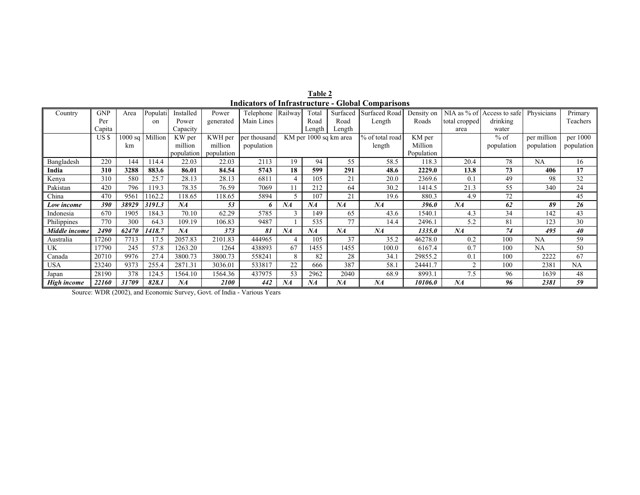| Table 2                                                  |  |
|----------------------------------------------------------|--|
| <b>Indicators of Infrastructure - Global Comparisons</b> |  |

| Country       | <b>GNP</b> | Area    | Populati | Installed  | Power      | Telephone    | Railway | Total  | Surfaced               | Surfaced Road   | Density on | NIA as $%$ of  | Access to safe | Physicians  | Primary    |
|---------------|------------|---------|----------|------------|------------|--------------|---------|--------|------------------------|-----------------|------------|----------------|----------------|-------------|------------|
|               | Per        |         | $^{on}$  | Power      | generated  | Main Lines   |         | Road   | Road                   | Length          | Roads      | total cropped  | drinking       |             | Teachers   |
|               | Capita     |         |          | Capacity   |            |              |         | Length | Length                 |                 |            | area           | water          |             |            |
|               | US \$      | 1000 sq | Million  | KW per     | KWH per    | per thousand |         |        | KM per 1000 sq km area | % of total road | KM per     |                | $%$ of         | per million | per 1000   |
|               |            | km      |          | million    | million    | population   |         |        |                        | length          | Million    |                | population     | population  | population |
|               |            |         |          | population | population |              |         |        |                        |                 | Population |                |                |             |            |
| Bangladesh    | 220        | 144     | 14.4     | 22.03      | 22.03      | 2113         | 19      | 94     | 55                     | 58.5            | 118.3      | 20.4           | 78             | NA          | 16         |
| India         | 310        | 3288    | 883.6    | 86.01      | 84.54      | 5743         | 18      | 599    | 291                    | 48.6            | 2229.0     | 13.8           | 73             | 406         | 17         |
| Kenya         | 310        | 580     | 25.7     | 28.13      | 28.13      | 6811         |         | 105    | 21                     | 20.0            | 2369.6     | 0.1            | 49             | 98          | 32         |
| Pakistan      | 420        | 796     | 19.3     | 78.35      | 76.59      | 7069         | 11      | 212    | 64                     | 30.2            | 1414.5     | 21.3           | 55             | 340         | 24         |
| China         | 470        | 9561    | 1162.2   | 18.65      | 118.65     | 5894         |         | 107    | 21                     | 19.6            | 880.3      | 4.9            | 72             |             | 45         |
| Low income    | 390        | 38929   | 3191.3   | NA         | 53         | 6            | NA      | NA     | NA                     | NA              | 396.0      | NA             | 62             | 89          | 26         |
| Indonesia     | 670        | 1905    | 184.3    | 70.10      | 62.29      | 5785         |         | 149    | 65                     | 43.6            | 1540.1     | 4.3            | 34             | 142         | 43         |
| Philippines   | 770        | 300     | 64.3     | 109.19     | 106.83     | 9487         |         | 535    | 77                     | 14.4            | 2496.1     | 5.2            | 81             | 123         | 30         |
| Middle income | 2490       | 62470   | 1418.7   | NA         | 373        | 81           | NA      | NA     | NA                     | NA              | 1335.0     | NA             | 74             | 495         | 40         |
| Australia     | 17260      | 7713    | 17.5     | 2057.83    | 2101.83    | 444965       |         | 105    | 37                     | 35.2            | 46278.0    | 0.2            | 100            | NA          | 59         |
| UK            | 17790      | 245     | 57.8     | 1263.20    | 1264       | 438893       | 67      | 1455   | 1455                   | 100.0           | 6167.4     | 0.7            | 100            | NA          | 50         |
| Canada        | 20710      | 9976    | 27.4     | 3800.73    | 3800.73    | 558241       | 8       | 82     | 28                     | 34.1            | 29855.2    | 0.1            | 100            | 2222        | 67         |
| USA           | 23240      | 9373    | 255.4    | 2871.31    | 3036.01    | 533817       | 22      | 666    | 387                    | 58.1            | 24441.7    | $\overline{c}$ | 100            | 2381        | NA         |
| Japan         | 28190      | 378     | 124.5    | 1564.10    | 1564.36    | 437975       | 53      | 2962   | 2040                   | 68.9            | 8993.1     | 7.5            | 96             | 1639        | 48         |
| High income   | 22160      | 31709   | 828.1    | NA         | 2100       | 442          | NA      | NA     | NA                     | NA              | 10106.0    | NA             | 96             | 2381        | 59         |

Source: WDR (2002), and Economic Survey, Govt. of India - Various Years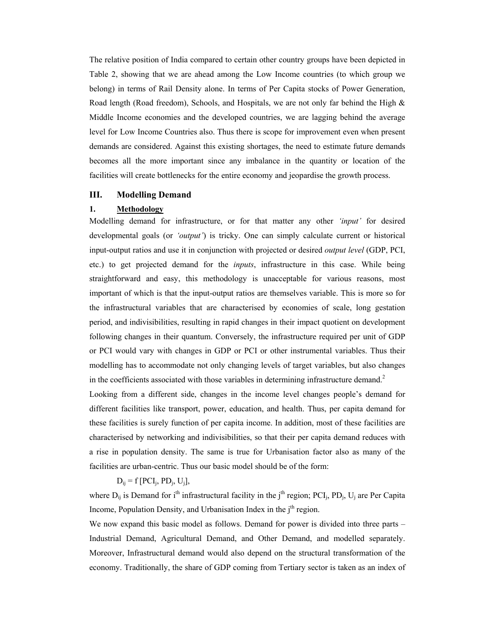The relative position of India compared to certain other country groups have been depicted in Table 2, showing that we are ahead among the Low Income countries (to which group we belong) in terms of Rail Density alone. In terms of Per Capita stocks of Power Generation, Road length (Road freedom), Schools, and Hospitals, we are not only far behind the High & Middle Income economies and the developed countries, we are lagging behind the average level for Low Income Countries also. Thus there is scope for improvement even when present demands are considered. Against this existing shortages, the need to estimate future demands becomes all the more important since any imbalance in the quantity or location of the facilities will create bottlenecks for the entire economy and jeopardise the growth process.

#### III. **Modelling Demand**

#### $1.$ **Methodology**

Modelling demand for infrastructure, or for that matter any other 'input' for desired developmental goals (or '*output'*) is tricky. One can simply calculate current or historical input-output ratios and use it in conjunction with projected or desired *output level* (GDP, PCI, etc.) to get projected demand for the *inputs*, infrastructure in this case. While being straightforward and easy, this methodology is unacceptable for various reasons, most important of which is that the input-output ratios are themselves variable. This is more so for the infrastructural variables that are characterised by economies of scale, long gestation period, and indivisibilities, resulting in rapid changes in their impact quotient on development following changes in their quantum. Conversely, the infrastructure required per unit of GDP or PCI would vary with changes in GDP or PCI or other instrumental variables. Thus their modelling has to accommodate not only changing levels of target variables, but also changes in the coefficients associated with those variables in determining infrastructure demand.<sup>2</sup>

Looking from a different side, changes in the income level changes people's demand for different facilities like transport, power, education, and health. Thus, per capita demand for these facilities is surely function of per capita income. In addition, most of these facilities are characterised by networking and indivisibilities, so that their per capita demand reduces with a rise in population density. The same is true for Urbanisation factor also as many of the facilities are urban-centric. Thus our basic model should be of the form:

### $D_{ii} = f$  [PCI<sub>i</sub>, PD<sub>i</sub>, U<sub>i</sub>],

where  $D_{ii}$  is Demand for i<sup>th</sup> infrastructural facility in the j<sup>th</sup> region; PCI<sub>i</sub>, PD<sub>i</sub>, U<sub>i</sub> are Per Capita Income, Population Density, and Urbanisation Index in the j<sup>th</sup> region.

We now expand this basic model as follows. Demand for power is divided into three parts – Industrial Demand, Agricultural Demand, and Other Demand, and modelled separately. Moreover, Infrastructural demand would also depend on the structural transformation of the economy. Traditionally, the share of GDP coming from Tertiary sector is taken as an index of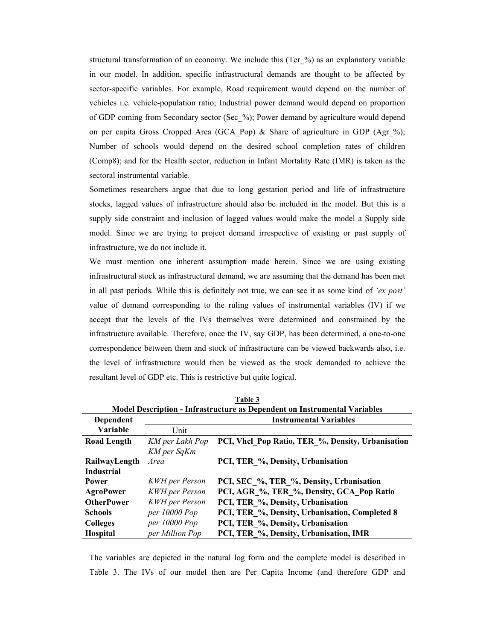structural transformation of an economy. We include this (Ter\_%) as an explanatory variable in our model. In addition, specific infrastructural demands are thought to be affected by sector-specific variables. For example, Road requirement would depend on the number of vehicles *i.e.* vehicle-population ratio; Industrial power demand would depend on proportion of GDP coming from Secondary sector (Sec %); Power demand by agriculture would depend on per capita Gross Cropped Area (GCA\_Pop) & Share of agriculture in GDP (Agr\_%); Number of schools would depend on the desired school completion rates of children (Comp8); and for the Health sector, reduction in Infant Mortality Rate (IMR) is taken as the sectoral instrumental variable.

Sometimes researchers argue that due to long gestation period and life of infrastructure stocks, lagged values of infrastructure should also be included in the model. But this is a supply side constraint and inclusion of lagged values would make the model a Supply side model. Since we are trying to project demand irrespective of existing or past supply of infrastructure, we do not include it.

We must mention one inherent assumption made herein. Since we are using existing infrastructural stock as infrastructural demand, we are assuming that the demand has been met in all past periods. While this is definitely not true, we can see it as some kind of 'ex post' value of demand corresponding to the ruling values of instrumental variables (IV) if we accept that the levels of the IVs themselves were determined and constrained by the infrastructure available. Therefore, once the IV, say GDP, has been determined, a one-to-one correspondence between them and stock of infrastructure can be viewed backwards also, i.e. the level of infrastructure would then be viewed as the stock demanded to achieve the resultant level of GDP etc. This is restrictive but quite logical.

|                    | Model Description - Infrastructure as Dependent on Instrumental Variables |                                                   |  |  |  |  |  |  |  |  |  |
|--------------------|---------------------------------------------------------------------------|---------------------------------------------------|--|--|--|--|--|--|--|--|--|
| Dependent          |                                                                           | <b>Instrumental Variables</b>                     |  |  |  |  |  |  |  |  |  |
| Variable           | Unit                                                                      |                                                   |  |  |  |  |  |  |  |  |  |
| <b>Road Length</b> | KM per Lakh Pop                                                           | PCI, Vhcl Pop Ratio, TER %, Density, Urbanisation |  |  |  |  |  |  |  |  |  |
|                    | KM per SqKm                                                               |                                                   |  |  |  |  |  |  |  |  |  |
| RailwayLength      | Area                                                                      | PCI, TER %, Density, Urbanisation                 |  |  |  |  |  |  |  |  |  |
| <b>Industrial</b>  |                                                                           |                                                   |  |  |  |  |  |  |  |  |  |
| Power              | <b>KWH</b> per Person                                                     | PCI, SEC %, TER %, Density, Urbanisation          |  |  |  |  |  |  |  |  |  |
| <b>AgroPower</b>   | <b>KWH</b> per Person                                                     | PCI, AGR %, TER %, Density, GCA Pop Ratio         |  |  |  |  |  |  |  |  |  |
| <b>OtherPower</b>  | <b>KWH</b> per Person                                                     | PCI, TER %, Density, Urbanisation                 |  |  |  |  |  |  |  |  |  |
| <b>Schools</b>     | $per\,10000\,Pop$                                                         | PCI, TER %, Density, Urbanisation, Completed 8    |  |  |  |  |  |  |  |  |  |
| <b>Colleges</b>    | per 10000 Pop                                                             | PCI, TER %, Density, Urbanisation                 |  |  |  |  |  |  |  |  |  |
| <b>Hospital</b>    | per Million Pop                                                           | PCI, TER %, Density, Urbanisation, IMR            |  |  |  |  |  |  |  |  |  |

Table 3

The variables are depicted in the natural log form and the complete model is described in Table 3. The IVs of our model then are Per Capita Income (and therefore GDP and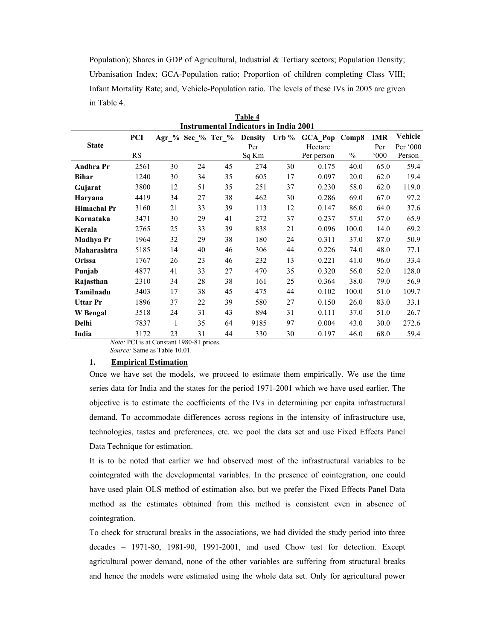Population); Shares in GDP of Agricultural, Industrial & Tertiary sectors; Population Density; Urbanisation Index; GCA-Population ratio; Proportion of children completing Class VIII; Infant Mortality Rate; and, Vehicle-Population ratio. The levels of these IVs in 2005 are given in Table 4.

|                    | <b>Instrumental Indicators in India 2001</b> |    |    |                                                            |       |    |                       |       |               |          |  |  |
|--------------------|----------------------------------------------|----|----|------------------------------------------------------------|-------|----|-----------------------|-------|---------------|----------|--|--|
|                    | PCI                                          |    |    | $\text{Agr}\_{\infty}$ Sec $\frac{6}{6}$ Ter $\frac{6}{6}$ |       |    | Density Urb % GCA Pop | Comp8 | <b>IMR</b>    | Vehicle  |  |  |
| <b>State</b>       |                                              |    |    |                                                            | Per   |    | Hectare               |       | Per           | Per '000 |  |  |
|                    | <b>RS</b>                                    |    |    |                                                            | Sq Km |    | Per person            | $\%$  | $000^{\circ}$ | Person   |  |  |
| Andhra Pr          | 2561                                         | 30 | 24 | 45                                                         | 274   | 30 | 0.175                 | 40.0  | 65.0          | 59.4     |  |  |
| <b>Bihar</b>       | 1240                                         | 30 | 34 | 35                                                         | 605   | 17 | 0.097                 | 20.0  | 62.0          | 19.4     |  |  |
| Gujarat            | 3800                                         | 12 | 51 | 35                                                         | 251   | 37 | 0.230                 | 58.0  | 62.0          | 119.0    |  |  |
| Haryana            | 4419                                         | 34 | 27 | 38                                                         | 462   | 30 | 0.286                 | 69.0  | 67.0          | 97.2     |  |  |
| <b>Himachal Pr</b> | 3160                                         | 21 | 33 | 39                                                         | 113   | 12 | 0.147                 | 86.0  | 64.0          | 37.6     |  |  |
| Karnataka          | 3471                                         | 30 | 29 | 41                                                         | 272   | 37 | 0.237                 | 57.0  | 57.0          | 65.9     |  |  |
| Kerala             | 2765                                         | 25 | 33 | 39                                                         | 838   | 21 | 0.096                 | 100.0 | 14.0          | 69.2     |  |  |
| <b>Madhya Pr</b>   | 1964                                         | 32 | 29 | 38                                                         | 180   | 24 | 0.311                 | 37.0  | 87.0          | 50.9     |  |  |
| Maharashtra        | 5185                                         | 14 | 40 | 46                                                         | 306   | 44 | 0.226                 | 74.0  | 48.0          | 77.1     |  |  |
| Orissa             | 1767                                         | 26 | 23 | 46                                                         | 232   | 13 | 0.221                 | 41.0  | 96.0          | 33.4     |  |  |
| Punjab             | 4877                                         | 41 | 33 | 27                                                         | 470   | 35 | 0.320                 | 56.0  | 52.0          | 128.0    |  |  |
| Rajasthan          | 2310                                         | 34 | 28 | 38                                                         | 161   | 25 | 0.364                 | 38.0  | 79.0          | 56.9     |  |  |
| Tamilnadu          | 3403                                         | 17 | 38 | 45                                                         | 475   | 44 | 0.102                 | 100.0 | 51.0          | 109.7    |  |  |
| <b>Uttar Pr</b>    | 1896                                         | 37 | 22 | 39                                                         | 580   | 27 | 0.150                 | 26.0  | 83.0          | 33.1     |  |  |
| <b>W</b> Bengal    | 3518                                         | 24 | 31 | 43                                                         | 894   | 31 | 0.111                 | 37.0  | 51.0          | 26.7     |  |  |
| Delhi              | 7837                                         | 1  | 35 | 64                                                         | 9185  | 97 | 0.004                 | 43.0  | 30.0          | 272.6    |  |  |
| India              | 3172                                         | 23 | 31 | 44                                                         | 330   | 30 | 0.197                 | 46.0  | 68.0          | 59.4     |  |  |

Table 4

Note: PCI is at Constant 1980-81 prices.

Source: Same as Table 10.01.

### 1. **Empirical Estimation**

Once we have set the models, we proceed to estimate them empirically. We use the time series data for India and the states for the period 1971-2001 which we have used earlier. The objective is to estimate the coefficients of the IVs in determining per capita infrastructural demand. To accommodate differences across regions in the intensity of infrastructure use, technologies, tastes and preferences, etc. we pool the data set and use Fixed Effects Panel Data Technique for estimation.

It is to be noted that earlier we had observed most of the infrastructural variables to be cointegrated with the developmental variables. In the presence of cointegration, one could have used plain OLS method of estimation also, but we prefer the Fixed Effects Panel Data method as the estimates obtained from this method is consistent even in absence of cointegration.

To check for structural breaks in the associations, we had divided the study period into three  $decades$  - 1971-80, 1981-90, 1991-2001, and used Chow test for detection. Except agricultural power demand, none of the other variables are suffering from structural breaks and hence the models were estimated using the whole data set. Only for agricultural power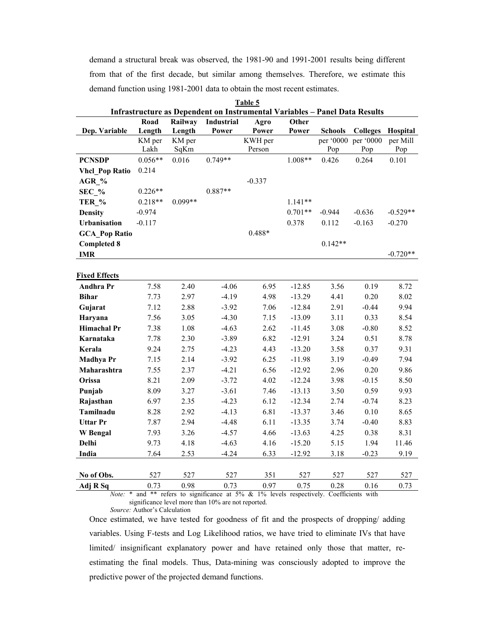demand a structural break was observed, the 1981-90 and 1991-2001 results being different from that of the first decade, but similar among themselves. Therefore, we estimate this demand function using 1981-2001 data to obtain the most recent estimates.

| Table 5<br>Infrastructure as Dependent on Instrumental Variables - Panel Data Results |                  |                  |                   |                                                                                                |           |                |                                        |                      |  |  |  |
|---------------------------------------------------------------------------------------|------------------|------------------|-------------------|------------------------------------------------------------------------------------------------|-----------|----------------|----------------------------------------|----------------------|--|--|--|
|                                                                                       |                  |                  |                   |                                                                                                |           |                |                                        |                      |  |  |  |
|                                                                                       | Road             | Railway          | <b>Industrial</b> | Agro                                                                                           | Other     |                |                                        |                      |  |  |  |
| Dep. Variable                                                                         | Length<br>KM per | Length<br>KM per | Power             | Power<br>KWH per                                                                               | Power     | <b>Schools</b> | <b>Colleges</b><br>per '0000 per '0000 | Hospital<br>per Mill |  |  |  |
|                                                                                       | Lakh             | SqKm             |                   | Person                                                                                         |           | Pop            | Pop                                    | Pop                  |  |  |  |
| <b>PCNSDP</b>                                                                         | $0.056**$        | 0.016            | $0.749**$         |                                                                                                | $1.008**$ | 0.426          | 0.264                                  | 0.101                |  |  |  |
| <b>Vhcl Pop Ratio</b>                                                                 | 0.214            |                  |                   |                                                                                                |           |                |                                        |                      |  |  |  |
| AGR %                                                                                 |                  |                  |                   | $-0.337$                                                                                       |           |                |                                        |                      |  |  |  |
| $SEC_%$                                                                               | $0.226**$        |                  | $0.887**$         |                                                                                                |           |                |                                        |                      |  |  |  |
| TER %                                                                                 | $0.218**$        | $0.099**$        |                   |                                                                                                | $1.141**$ |                |                                        |                      |  |  |  |
| <b>Density</b>                                                                        | $-0.974$         |                  |                   |                                                                                                | $0.701**$ | $-0.944$       | $-0.636$                               | $-0.529**$           |  |  |  |
| <b>Urbanisation</b>                                                                   | $-0.117$         |                  |                   |                                                                                                | 0.378     | 0.112          | $-0.163$                               | $-0.270$             |  |  |  |
| <b>GCA</b> Pop Ratio                                                                  |                  |                  |                   | 0.488*                                                                                         |           |                |                                        |                      |  |  |  |
| <b>Completed 8</b>                                                                    |                  |                  |                   |                                                                                                |           | $0.142**$      |                                        |                      |  |  |  |
| <b>IMR</b>                                                                            |                  |                  |                   |                                                                                                |           |                |                                        | $-0.720**$           |  |  |  |
|                                                                                       |                  |                  |                   |                                                                                                |           |                |                                        |                      |  |  |  |
| <b>Fixed Effects</b>                                                                  |                  |                  |                   |                                                                                                |           |                |                                        |                      |  |  |  |
| <b>Andhra Pr</b>                                                                      | 7.58             | 2.40             | $-4.06$           | 6.95                                                                                           | $-12.85$  | 3.56           | 0.19                                   | 8.72                 |  |  |  |
| <b>Bihar</b>                                                                          | 7.73             | 2.97             | $-4.19$           | 4.98                                                                                           | $-13.29$  | 4.41           | 0.20                                   | 8.02                 |  |  |  |
| Gujarat                                                                               | 7.12             | 2.88             | $-3.92$           | 7.06                                                                                           | $-12.84$  | 2.91           | $-0.44$                                | 9.94                 |  |  |  |
| Haryana                                                                               | 7.56             | 3.05             | $-4.30$           | 7.15                                                                                           | $-13.09$  | 3.11           | 0.33                                   | 8.54                 |  |  |  |
| <b>Himachal Pr</b>                                                                    | 7.38             | 1.08             | $-4.63$           | 2.62                                                                                           | $-11.45$  | 3.08           | $-0.80$                                | 8.52                 |  |  |  |
| Karnataka                                                                             | 7.78             | 2.30             | $-3.89$           | 6.82                                                                                           | $-12.91$  | 3.24           | 0.51                                   | 8.78                 |  |  |  |
| Kerala                                                                                | 9.24             | 2.75             | $-4.23$           | 4.43                                                                                           | $-13.20$  | 3.58           | 0.37                                   | 9.31                 |  |  |  |
| <b>Madhya Pr</b>                                                                      | 7.15             | 2.14             | $-3.92$           | 6.25                                                                                           | $-11.98$  | 3.19           | $-0.49$                                | 7.94                 |  |  |  |
| Maharashtra                                                                           | 7.55             | 2.37             | $-4.21$           | 6.56                                                                                           | $-12.92$  | 2.96           | 0.20                                   | 9.86                 |  |  |  |
| Orissa                                                                                | 8.21             | 2.09             | $-3.72$           | 4.02                                                                                           | $-12.24$  | 3.98           | $-0.15$                                | 8.50                 |  |  |  |
| Punjab                                                                                | 8.09             | 3.27             | $-3.61$           | 7.46                                                                                           | $-13.13$  | 3.50           | 0.59                                   | 9.93                 |  |  |  |
| Rajasthan                                                                             | 6.97             | 2.35             | $-4.23$           | 6.12                                                                                           | $-12.34$  | 2.74           | $-0.74$                                | 8.23                 |  |  |  |
| Tamilnadu                                                                             | 8.28             | 2.92             | $-4.13$           | 6.81                                                                                           | $-13.37$  | 3.46           | 0.10                                   | 8.65                 |  |  |  |
| <b>Uttar Pr</b>                                                                       | 7.87             | 2.94             | $-4.48$           | 6.11                                                                                           | $-13.35$  | 3.74           | $-0.40$                                | 8.83                 |  |  |  |
| <b>W</b> Bengal                                                                       | 7.93             | 3.26             | $-4.57$           | 4.66                                                                                           | $-13.63$  | 4.25           | 0.38                                   | 8.31                 |  |  |  |
| Delhi                                                                                 | 9.73             | 4.18             | $-4.63$           | 4.16                                                                                           | $-15.20$  | 5.15           | 1.94                                   | 11.46                |  |  |  |
| India                                                                                 | 7.64             | 2.53             | $-4.24$           | 6.33                                                                                           | $-12.92$  | 3.18           | $-0.23$                                | 9.19                 |  |  |  |
|                                                                                       |                  |                  |                   |                                                                                                |           |                |                                        |                      |  |  |  |
| No of Obs.                                                                            | 527              | 527              | 527               | 351                                                                                            | 527       | 527            | 527                                    | 527                  |  |  |  |
| Adj R Sq                                                                              | 0.73             | 0.98             | 0.73              | 0.97<br>Note: * and ** refers to significance at 5% & 1% levels respectively Coefficients with | 0.75      | 0.28           | 0.16                                   | 0.73                 |  |  |  |

refers to significance at 5%  $\&$  1% levels respectively. Coefficients with significance level more than 10% are not reported. Source: Author's Calculation

Once estimated, we have tested for goodness of fit and the prospects of dropping/adding variables. Using F-tests and Log Likelihood ratios, we have tried to eliminate IVs that have limited/ insignificant explanatory power and have retained only those that matter, reestimating the final models. Thus, Data-mining was consciously adopted to improve the predictive power of the projected demand functions.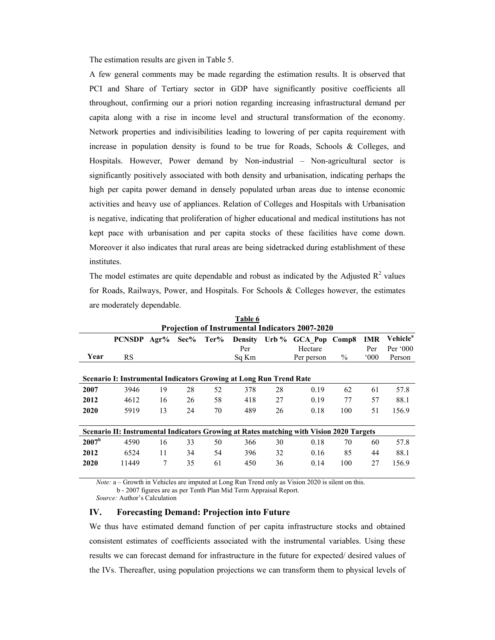The estimation results are given in Table 5.

A few general comments may be made regarding the estimation results. It is observed that PCI and Share of Tertiary sector in GDP have significantly positive coefficients all throughout, confirming our a priori notion regarding increasing infrastructural demand per capita along with a rise in income level and structural transformation of the economy. Network properties and indivisibilities leading to lowering of per capita requirement with increase in population density is found to be true for Roads, Schools & Colleges, and Hospitals. However, Power demand by Non-industrial – Non-agricultural sector is significantly positively associated with both density and urbanisation, indicating perhaps the high per capita power demand in densely populated urban areas due to intense economic activities and heavy use of appliances. Relation of Colleges and Hospitals with Urbanisation is negative, indicating that proliferation of higher educational and medical institutions has not kept pace with urbanisation and per capita stocks of these facilities have come down. Moreover it also indicates that rural areas are being sidetracked during establishment of these institutes.

The model estimates are quite dependable and robust as indicated by the Adjusted  $R^2$  values for Roads, Railways, Power, and Hospitals. For Schools & Colleges however, the estimates are moderately dependable.

|                   | Table 6                                                            |      |      |      |                |    |                                                                                         |       |               |                      |  |  |  |
|-------------------|--------------------------------------------------------------------|------|------|------|----------------|----|-----------------------------------------------------------------------------------------|-------|---------------|----------------------|--|--|--|
|                   | <b>Projection of Instrumental Indicators 2007-2020</b>             |      |      |      |                |    |                                                                                         |       |               |                      |  |  |  |
|                   | <b>PCNSDP</b>                                                      | Agr% | Sec% | Ter% | <b>Density</b> |    | Urb % GCA Pop                                                                           | Comp8 | <b>IMR</b>    | Vehicle <sup>a</sup> |  |  |  |
|                   |                                                                    |      |      |      | Per            |    | Hectare                                                                                 |       | Per           | Per $000$            |  |  |  |
| Year              | <b>RS</b>                                                          |      |      |      | Sq Km          |    | Per person                                                                              | $\%$  | $000^{\circ}$ | Person               |  |  |  |
|                   |                                                                    |      |      |      |                |    |                                                                                         |       |               |                      |  |  |  |
|                   | Scenario I: Instrumental Indicators Growing at Long Run Trend Rate |      |      |      |                |    |                                                                                         |       |               |                      |  |  |  |
| 2007              | 3946                                                               | 19   | 28   | 52   | 378            | 28 | 0.19                                                                                    | 62    | 61            | 57.8                 |  |  |  |
| 2012              | 4612                                                               | 16   | 26   | 58   | 418            | 27 | 0.19                                                                                    | 77    | 57            | 88.1                 |  |  |  |
| 2020              | 5919                                                               | 13   | 24   | 70   | 489            | 26 | 0.18                                                                                    | 100   | 51            | 156.9                |  |  |  |
|                   |                                                                    |      |      |      |                |    |                                                                                         |       |               |                      |  |  |  |
|                   |                                                                    |      |      |      |                |    | Scenario II: Instrumental Indicators Growing at Rates matching with Vision 2020 Targets |       |               |                      |  |  |  |
| 2007 <sup>b</sup> | 4590                                                               | 16   | 33   | 50   | 366            | 30 | 0.18                                                                                    | 70    | 60            | 57.8                 |  |  |  |
| 2012              | 6524                                                               | 11   | 34   | 54   | 396            | 32 | 0.16                                                                                    | 85    | 44            | 88.1                 |  |  |  |
| 2020              | 11449                                                              | 7    | 35   | 61   | 450            | 36 | 0.14                                                                                    | 100   | 27            | 156.9                |  |  |  |
|                   |                                                                    |      |      |      |                |    |                                                                                         |       |               |                      |  |  |  |

*Note:*  $a -$ Growth in Vehicles are imputed at Long Run Trend only as Vision 2020 is silent on this.

b - 2007 figures are as per Tenth Plan Mid Term Appraisal Report.

Source: Author's Calculation

### IV. **Forecasting Demand: Projection into Future**

We thus have estimated demand function of per capita infrastructure stocks and obtained consistent estimates of coefficients associated with the instrumental variables. Using these results we can forecast demand for infrastructure in the future for expected/ desired values of the IVs. Thereafter, using population projections we can transform them to physical levels of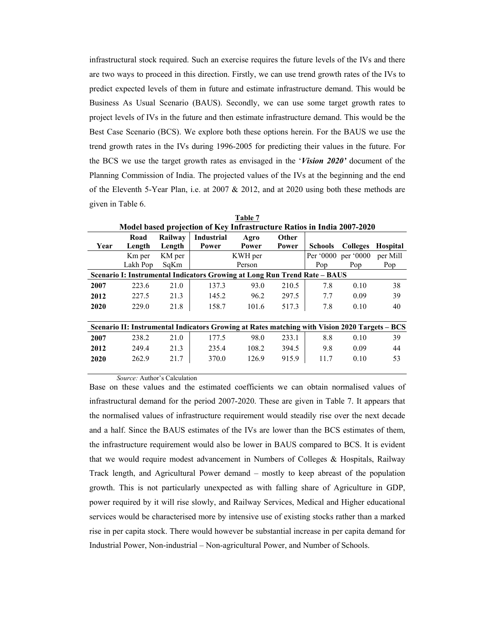infrastructural stock required. Such an exercise requires the future levels of the IVs and there are two ways to proceed in this direction. Firstly, we can use trend growth rates of the IVs to predict expected levels of them in future and estimate infrastructure demand. This would be Business As Usual Scenario (BAUS). Secondly, we can use some target growth rates to project levels of IVs in the future and then estimate infrastructure demand. This would be the Best Case Scenario (BCS). We explore both these options herein. For the BAUS we use the trend growth rates in the IVs during 1996-2005 for predicting their values in the future. For the BCS we use the target growth rates as envisaged in the 'Vision 2020' document of the Planning Commission of India. The projected values of the IVs at the beginning and the end of the Eleventh 5-Year Plan, i.e. at 2007 & 2012, and at 2020 using both these methods are given in Table 6.

|      | Model based projection of Key Infrastructure Ratios in India 2007-2020 |         |                                                                                               |         |              |                     |                 |                 |  |  |  |  |
|------|------------------------------------------------------------------------|---------|-----------------------------------------------------------------------------------------------|---------|--------------|---------------------|-----------------|-----------------|--|--|--|--|
|      | Road                                                                   | Railway | <b>Industrial</b>                                                                             | Agro    | <b>Other</b> |                     |                 |                 |  |  |  |  |
| Year | Length                                                                 | Length  | Power                                                                                         | Power   | Power        | <b>Schools</b>      | <b>Colleges</b> | <b>Hospital</b> |  |  |  |  |
|      | K <sub>m</sub> per                                                     | KM per  |                                                                                               | KWH per |              | Per '0000 per '0000 |                 | per Mill        |  |  |  |  |
|      | Lakh Pop                                                               | SqKm    |                                                                                               | Person  |              | Pop                 | Pop             | Pop             |  |  |  |  |
|      |                                                                        |         | Scenario I: Instrumental Indicators Growing at Long Run Trend Rate - BAUS                     |         |              |                     |                 |                 |  |  |  |  |
| 2007 | 223.6                                                                  | 21.0    | 137.3                                                                                         | 93.0    | 210.5        | 7.8                 | 0.10            | 38              |  |  |  |  |
| 2012 | 227.5                                                                  | 21.3    | 145.2                                                                                         | 96.2    | 297.5        | 7.7                 | 0.09            | 39              |  |  |  |  |
| 2020 | 229.0                                                                  | 21.8    | 158.7                                                                                         | 101.6   | 517.3        | 7.8                 | 0.10            | 40              |  |  |  |  |
|      |                                                                        |         |                                                                                               |         |              |                     |                 |                 |  |  |  |  |
|      |                                                                        |         | Scenario II: Instrumental Indicators Growing at Rates matching with Vision 2020 Targets – BCS |         |              |                     |                 |                 |  |  |  |  |
| 2007 | 238.2                                                                  | 21.0    | 177.5                                                                                         | 98.0    | 233.1        | 8.8                 | 0.10            | 39              |  |  |  |  |
| 2012 | 249.4                                                                  | 21.3    | 235.4                                                                                         | 108.2   | 394.5        | 9.8                 | 0.09            | 44              |  |  |  |  |
| 2020 | 262.9                                                                  | 21.7    | 370.0                                                                                         | 126.9   | 915.9        | 11.7                | 0.10            | 53              |  |  |  |  |
|      |                                                                        |         |                                                                                               |         |              |                     |                 |                 |  |  |  |  |

Table 7

Source: Author's Calculation

Base on these values and the estimated coefficients we can obtain normalised values of infrastructural demand for the period 2007-2020. These are given in Table 7. It appears that the normalised values of infrastructure requirement would steadily rise over the next decade and a half. Since the BAUS estimates of the IVs are lower than the BCS estimates of them, the infrastructure requirement would also be lower in BAUS compared to BCS. It is evident that we would require modest advancement in Numbers of Colleges & Hospitals, Railway Track length, and Agricultural Power demand – mostly to keep abreast of the population growth. This is not particularly unexpected as with falling share of Agriculture in GDP, power required by it will rise slowly, and Railway Services, Medical and Higher educational services would be characterised more by intensive use of existing stocks rather than a marked rise in per capita stock. There would however be substantial increase in per capita demand for Industrial Power, Non-industrial – Non-agricultural Power, and Number of Schools.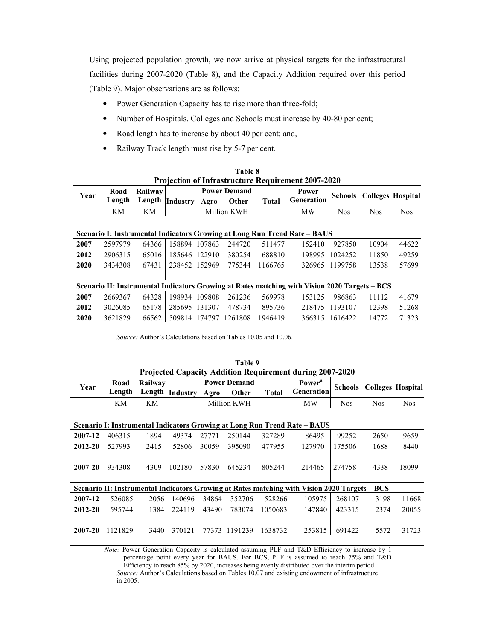Using projected population growth, we now arrive at physical targets for the infrastructural facilities during 2007-2020 (Table 8), and the Capacity Addition required over this period (Table 9). Major observations are as follows:

- Power Generation Capacity has to rise more than three-fold;  $\bullet$
- Number of Hospitals, Colleges and Schools must increase by 40-80 per cent;  $\bullet$
- Road length has to increase by about 40 per cent; and,  $\bullet$
- Railway Track length must rise by 5-7 per cent.  $\bullet$

| 1 avie o                                                  |         |         |               |      |                     |              |                                                                                               |                |                                  |            |  |  |
|-----------------------------------------------------------|---------|---------|---------------|------|---------------------|--------------|-----------------------------------------------------------------------------------------------|----------------|----------------------------------|------------|--|--|
| <b>Projection of Infrastructure Requirement 2007-2020</b> |         |         |               |      |                     |              |                                                                                               |                |                                  |            |  |  |
| Year                                                      | Road    | Railway |               |      | <b>Power Demand</b> |              | Power                                                                                         |                | <b>Schools</b> Colleges Hospital |            |  |  |
|                                                           | Length  | Length  | Industry      | Agro | Other               | <b>Total</b> | Generation                                                                                    |                |                                  |            |  |  |
|                                                           | KM      | KМ      |               |      | Million KWH         |              | MW                                                                                            | <b>Nos</b>     | <b>Nos</b>                       | <b>Nos</b> |  |  |
|                                                           |         |         |               |      |                     |              |                                                                                               |                |                                  |            |  |  |
|                                                           |         |         |               |      |                     |              | Scenario I: Instrumental Indicators Growing at Long Run Trend Rate – BAUS                     |                |                                  |            |  |  |
| 2007                                                      | 2597979 | 64366   | 158894 107863 |      | 244720              | 511477       | 152410                                                                                        | 927850         | 10904                            | 44622      |  |  |
| 2012                                                      | 2906315 | 65016   | 185646 122910 |      | 380254              | 688810       | 198995                                                                                        | 1024252        | 11850                            | 49259      |  |  |
| 2020                                                      | 3434308 | 67431   | 238452 152969 |      | 775344              | 1166765      | 326965                                                                                        | 1199758        | 13538                            | 57699      |  |  |
|                                                           |         |         |               |      |                     |              |                                                                                               |                |                                  |            |  |  |
|                                                           |         |         |               |      |                     |              | Scenario II: Instrumental Indicators Growing at Rates matching with Vision 2020 Targets – BCS |                |                                  |            |  |  |
| 2007                                                      | 2669367 | 64328   | 198934 109808 |      | 261236              | 569978       | 153125                                                                                        | 986863         | 11112                            | 41679      |  |  |
| 2012                                                      | 3026085 | 65178   | 285695 131307 |      | 478734              | 895736       | 218475                                                                                        | 1193107        | 12398                            | 51268      |  |  |
| 2020                                                      | 3621829 | 66562   | 509814 174797 |      | 1261808             | 1946419      |                                                                                               | 366315 1616422 | 14772                            | 71323      |  |  |

Table Q

Source: Author's Calculations based on Tables 10.05 and 10.06.

|                                                                 | Table 9 |                |          |       |                     |              |                                                                                               |            |                          |            |  |  |  |
|-----------------------------------------------------------------|---------|----------------|----------|-------|---------------------|--------------|-----------------------------------------------------------------------------------------------|------------|--------------------------|------------|--|--|--|
| <b>Projected Capacity Addition Requirement during 2007-2020</b> |         |                |          |       |                     |              |                                                                                               |            |                          |            |  |  |  |
| Year                                                            | Road    | <b>Railway</b> |          |       | <b>Power Demand</b> |              | <b>Power</b> <sup>a</sup>                                                                     | Schools    | <b>Colleges Hospital</b> |            |  |  |  |
|                                                                 | Length  | Length         | Industry | Agro  | Other               | <b>Total</b> | Generation                                                                                    |            |                          |            |  |  |  |
|                                                                 | KM      | KМ             |          |       | Million KWH         |              | MW                                                                                            | <b>Nos</b> | <b>Nos</b>               | <b>Nos</b> |  |  |  |
|                                                                 |         |                |          |       |                     |              |                                                                                               |            |                          |            |  |  |  |
|                                                                 |         |                |          |       |                     |              | Scenario I: Instrumental Indicators Growing at Long Run Trend Rate – BAUS                     |            |                          |            |  |  |  |
| 2007-12                                                         | 406315  | 1894           | 49374    | 27771 | 250144              | 327289       | 86495                                                                                         | 99252      | 2650                     | 9659       |  |  |  |
| 2012-20                                                         | 527993  | 2415           | 52806    | 30059 | 395090              | 477955       | 127970                                                                                        | 175506     | 1688                     | 8440       |  |  |  |
|                                                                 |         |                |          |       |                     |              |                                                                                               |            |                          |            |  |  |  |
| 2007-20                                                         | 934308  | 4309           | 102180   | 57830 | 645234              | 805244       | 214465                                                                                        | 274758     | 4338                     | 18099      |  |  |  |
|                                                                 |         |                |          |       |                     |              |                                                                                               |            |                          |            |  |  |  |
|                                                                 |         |                |          |       |                     |              | Scenario II: Instrumental Indicators Growing at Rates matching with Vision 2020 Targets - BCS |            |                          |            |  |  |  |
| 2007-12                                                         | 526085  | 2056           | 140696   | 34864 | 352706              | 528266       | 105975                                                                                        | 268107     | 3198                     | 11668      |  |  |  |
| $2012 - 20$                                                     | 595744  | 1384           | 224119   | 43490 | 783074              | 1050683      | 147840                                                                                        | 423315     | 2374                     | 20055      |  |  |  |
|                                                                 |         |                |          |       |                     |              |                                                                                               |            |                          |            |  |  |  |
| 2007-20                                                         | 1121829 | 3440           | 370121   | 77373 | 1191239             | 1638732      | 253815                                                                                        | 691422     | 5572                     | 31723      |  |  |  |
|                                                                 |         |                |          |       |                     |              |                                                                                               |            |                          |            |  |  |  |

Note: Power Generation Capacity is calculated assuming PLF and T&D Efficiency to increase by 1 percentage point every year for BAUS. For BCS, PLF is assumed to reach 75% and T&D

Efficiency to reach 85% by 2020, increases being evenly distributed over the interim period. Source: Author's Calculations based on Tables 10.07 and existing endowment of infrastructure in 2005.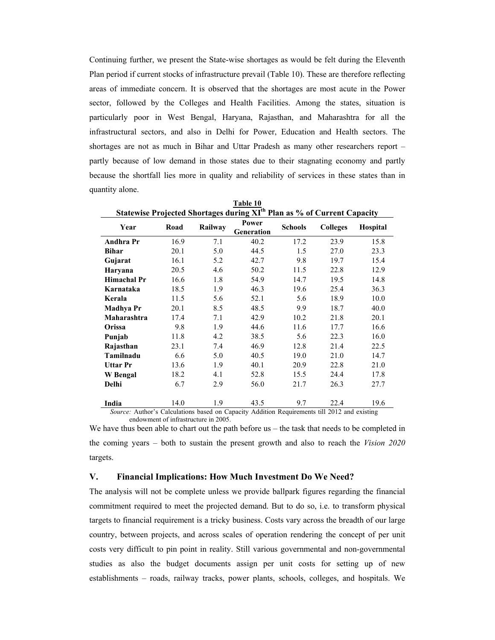Continuing further, we present the State-wise shortages as would be felt during the Eleventh Plan period if current stocks of infrastructure prevail (Table 10). These are therefore reflecting areas of immediate concern. It is observed that the shortages are most acute in the Power sector, followed by the Colleges and Health Facilities. Among the states, situation is particularly poor in West Bengal, Haryana, Rajasthan, and Maharashtra for all the infrastructural sectors, and also in Delhi for Power, Education and Health sectors. The shortages are not as much in Bihar and Uttar Pradesh as many other researchers report partly because of low demand in those states due to their stagnating economy and partly because the shortfall lies more in quality and reliability of services in these states than in quantity alone.

| <u>Table 10</u>                                                                              |      |         |                     |                |                 |                 |  |  |  |  |  |  |
|----------------------------------------------------------------------------------------------|------|---------|---------------------|----------------|-----------------|-----------------|--|--|--|--|--|--|
| Statewise Projected Shortages during XI <sup>th</sup> Plan as % of Current Capacity          |      |         |                     |                |                 |                 |  |  |  |  |  |  |
| Year                                                                                         | Road | Railway | Power<br>Generation | <b>Schools</b> | <b>Colleges</b> | <b>Hospital</b> |  |  |  |  |  |  |
| <b>Andhra Pr</b>                                                                             | 16.9 | 7.1     | 40.2                | 17.2           | 23.9            | 15.8            |  |  |  |  |  |  |
| <b>Bihar</b>                                                                                 | 20.1 | 5.0     | 44.5                | 1.5            | 27.0            | 23.3            |  |  |  |  |  |  |
| Gujarat                                                                                      | 16.1 | 5.2     | 42.7                | 9.8            | 19.7            | 15.4            |  |  |  |  |  |  |
| Haryana                                                                                      | 20.5 | 4.6     | 50.2                | 11.5           | 22.8            | 12.9            |  |  |  |  |  |  |
| <b>Himachal Pr</b>                                                                           | 16.6 | 1.8     | 54.9                | 14.7           | 19.5            | 14.8            |  |  |  |  |  |  |
| Karnataka                                                                                    | 18.5 | 1.9     | 46.3                | 19.6           | 25.4            | 36.3            |  |  |  |  |  |  |
| Kerala                                                                                       | 11.5 | 5.6     | 52.1                | 5.6            | 18.9            | 10.0            |  |  |  |  |  |  |
| <b>Madhya Pr</b>                                                                             | 20.1 | 8.5     | 48.5                | 9.9            | 18.7            | 40.0            |  |  |  |  |  |  |
| Maharashtra                                                                                  | 17.4 | 7.1     | 42.9                | 10.2           | 21.8            | 20.1            |  |  |  |  |  |  |
| Orissa                                                                                       | 9.8  | 1.9     | 44.6                | 11.6           | 17.7            | 16.6            |  |  |  |  |  |  |
| Punjab                                                                                       | 11.8 | 4.2     | 38.5                | 5.6            | 22.3            | 16.0            |  |  |  |  |  |  |
| Rajasthan                                                                                    | 23.1 | 7.4     | 46.9                | 12.8           | 21.4            | 22.5            |  |  |  |  |  |  |
| Tamilnadu                                                                                    | 6.6  | 5.0     | 40.5                | 19.0           | 21.0            | 14.7            |  |  |  |  |  |  |
| <b>Uttar Pr</b>                                                                              | 13.6 | 1.9     | 40.1                | 20.9           | 22.8            | 21.0            |  |  |  |  |  |  |
| W Bengal                                                                                     | 18.2 | 4.1     | 52.8                | 15.5           | 24.4            | 17.8            |  |  |  |  |  |  |
| Delhi                                                                                        | 6.7  | 2.9     | 56.0                | 21.7           | 26.3            | 27.7            |  |  |  |  |  |  |
|                                                                                              |      |         |                     |                |                 |                 |  |  |  |  |  |  |
| India                                                                                        | 14.0 | 1.9     | 43.5                | 9.7            | 22.4            | 19.6            |  |  |  |  |  |  |
| Source: Author's Calculations based on Capacity Addition Requirements till 2012 and existing |      |         |                     |                |                 |                 |  |  |  |  |  |  |

endowment of infrastructure in 2005.

We have thus been able to chart out the path before  $us$  – the task that needs to be completed in the coming years – both to sustain the present growth and also to reach the Vision 2020 targets.

#### V. **Financial Implications: How Much Investment Do We Need?**

The analysis will not be complete unless we provide ballpark figures regarding the financial commitment required to meet the projected demand. But to do so, i.e. to transform physical targets to financial requirement is a tricky business. Costs vary across the breadth of our large country, between projects, and across scales of operation rendering the concept of per unit costs very difficult to pin point in reality. Still various governmental and non-governmental studies as also the budget documents assign per unit costs for setting up of new establishments – roads, railway tracks, power plants, schools, colleges, and hospitals. We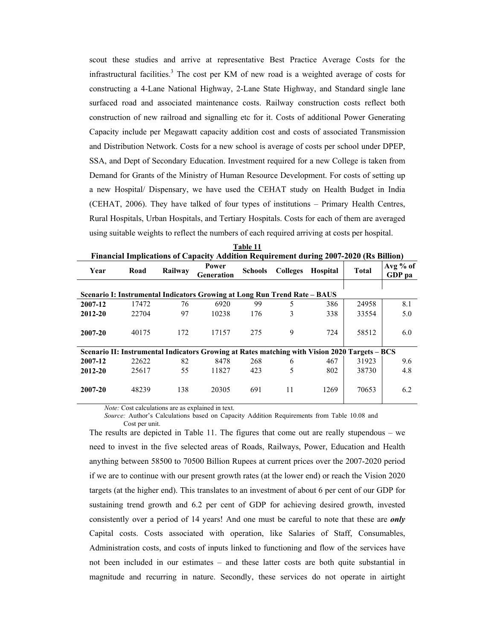scout these studies and arrive at representative Best Practice Average Costs for the infrastructural facilities.<sup>3</sup> The cost per KM of new road is a weighted average of costs for constructing a 4-Lane National Highway, 2-Lane State Highway, and Standard single lane surfaced road and associated maintenance costs. Railway construction costs reflect both construction of new railroad and signalling etc for it. Costs of additional Power Generating Capacity include per Megawatt capacity addition cost and costs of associated Transmission and Distribution Network. Costs for a new school is average of costs per school under DPEP, SSA, and Dept of Secondary Education. Investment required for a new College is taken from Demand for Grants of the Ministry of Human Resource Development. For costs of setting up a new Hospital/ Dispensary, we have used the CEHAT study on Health Budget in India (CEHAT, 2006). They have talked of four types of institutions – Primary Health Centres, Rural Hospitals, Urban Hospitals, and Tertiary Hospitals. Costs for each of them are averaged using suitable weights to reflect the numbers of each required arriving at costs per hospital.

| <u>FINANCIAL HIIDIICAUONS OF CAPACITY AUGULION REQUIPEMENT QUITII&amp; 2007-2020 (RS DIMON)</u> |       |         |                            |                |                 |                 |              |                      |  |  |  |  |
|-------------------------------------------------------------------------------------------------|-------|---------|----------------------------|----------------|-----------------|-----------------|--------------|----------------------|--|--|--|--|
| Year                                                                                            | Road  | Railway | Power<br><b>Generation</b> | <b>Schools</b> | <b>Colleges</b> | <b>Hospital</b> | <b>Total</b> | $Avg\%$ of<br>GDP pa |  |  |  |  |
| Scenario I: Instrumental Indicators Growing at Long Run Trend Rate – BAUS                       |       |         |                            |                |                 |                 |              |                      |  |  |  |  |
| 2007-12                                                                                         | 17472 | 76      | 6920                       | 99             | 5               | 386             | 24958        | 8.1                  |  |  |  |  |
| 2012-20                                                                                         | 22704 | 97      | 10238                      | 176            | 3               | 338             | 33554        | 5.0                  |  |  |  |  |
| 2007-20                                                                                         | 40175 | 172     | 17157                      | 275            | 9               | 724             | 58512        | 6.0                  |  |  |  |  |
| Scenario II: Instrumental Indicators Growing at Rates matching with Vision 2020 Targets – BCS   |       |         |                            |                |                 |                 |              |                      |  |  |  |  |
| 2007-12                                                                                         | 22622 | 82      | 8478                       | 268            | 6               | 467             | 31923        | 9.6                  |  |  |  |  |
| 2012-20                                                                                         | 25617 | 55      | 11827                      | 423            | 5               | 802             | 38730        | 4.8                  |  |  |  |  |
| 2007-20                                                                                         | 48239 | 138     | 20305                      | 691            | 11              | 1269            | 70653        | 6.2                  |  |  |  |  |

Table 11 Eingnaigh Implications of Com dition Requirement during 2007-2020 (Rs Rillion)

Note: Cost calculations are as explained in text.

Source: Author's Calculations based on Capacity Addition Requirements from Table 10.08 and Cost per unit.

The results are depicted in Table 11. The figures that come out are really stupendous  $-$  we need to invest in the five selected areas of Roads, Railways, Power, Education and Health anything between 58500 to 70500 Billion Rupees at current prices over the 2007-2020 period if we are to continue with our present growth rates (at the lower end) or reach the Vision 2020 targets (at the higher end). This translates to an investment of about 6 per cent of our GDP for sustaining trend growth and 6.2 per cent of GDP for achieving desired growth, invested consistently over a period of 14 years! And one must be careful to note that these are *only* Capital costs. Costs associated with operation, like Salaries of Staff, Consumables, Administration costs, and costs of inputs linked to functioning and flow of the services have not been included in our estimates – and these latter costs are both quite substantial in magnitude and recurring in nature. Secondly, these services do not operate in airtight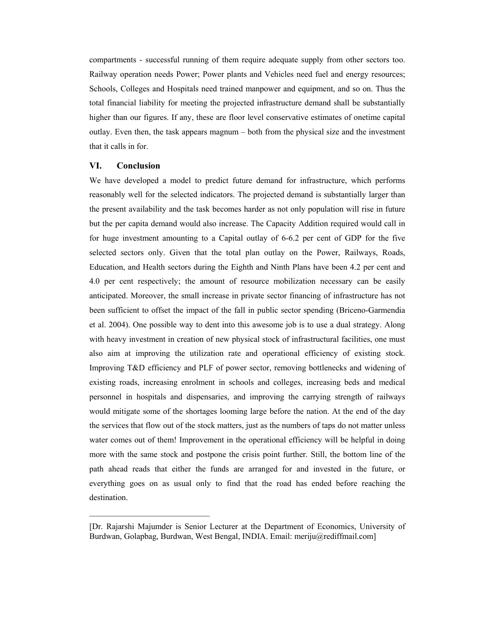compartments - successful running of them require adequate supply from other sectors too. Railway operation needs Power; Power plants and Vehicles need fuel and energy resources; Schools, Colleges and Hospitals need trained manpower and equipment, and so on. Thus the total financial liability for meeting the projected infrastructure demand shall be substantially higher than our figures. If any, these are floor level conservative estimates of onetime capital outlay. Even then, the task appears magnum – both from the physical size and the investment that it calls in for.

### VI. **Conclusion**

We have developed a model to predict future demand for infrastructure, which performs reasonably well for the selected indicators. The projected demand is substantially larger than the present availability and the task becomes harder as not only population will rise in future but the per capita demand would also increase. The Capacity Addition required would call in for huge investment amounting to a Capital outlay of 6-6.2 per cent of GDP for the five selected sectors only. Given that the total plan outlay on the Power, Railways, Roads, Education, and Health sectors during the Eighth and Ninth Plans have been 4.2 per cent and 4.0 per cent respectively; the amount of resource mobilization necessary can be easily anticipated. Moreover, the small increase in private sector financing of infrastructure has not been sufficient to offset the impact of the fall in public sector spending (Briceno-Garmendia) et al. 2004). One possible way to dent into this awesome job is to use a dual strategy. Along with heavy investment in creation of new physical stock of infrastructural facilities, one must also aim at improving the utilization rate and operational efficiency of existing stock. Improving T&D efficiency and PLF of power sector, removing bottlenecks and widening of existing roads, increasing enrolment in schools and colleges, increasing beds and medical personnel in hospitals and dispensaries, and improving the carrying strength of railways would mitigate some of the shortages looming large before the nation. At the end of the day the services that flow out of the stock matters, just as the numbers of taps do not matter unless water comes out of them! Improvement in the operational efficiency will be helpful in doing more with the same stock and postpone the crisis point further. Still, the bottom line of the path ahead reads that either the funds are arranged for and invested in the future, or everything goes on as usual only to find that the road has ended before reaching the destination.

<sup>[</sup>Dr. Rajarshi Majumder is Senior Lecturer at the Department of Economics, University of Burdwan, Golapbag, Burdwan, West Bengal, INDIA. Email: meriju@rediffmail.com]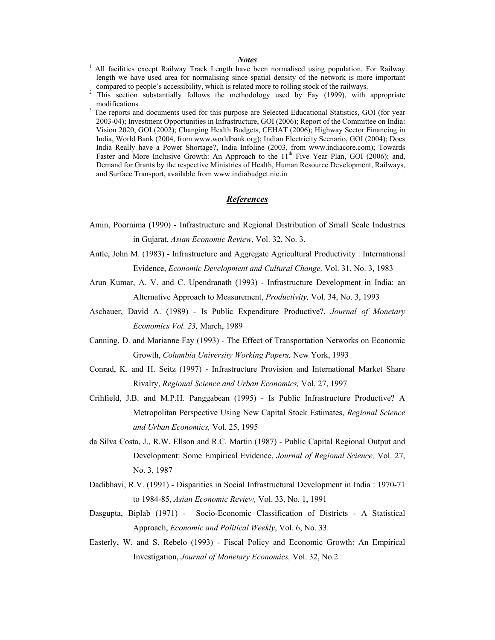### **Notes**

- <sup>1</sup> All facilities except Railway Track Length have been normalised using population. For Railway length we have used area for normalising since spatial density of the network is more important compared to people's accessibility, which is related more to rolling stock of the railways.
- $\overline{2}$ This section substantially follows the methodology used by Fay (1999), with appropriate modifications.
- The reports and documents used for this purpose are Selected Educational Statistics, GOI (for year 2003-04); Investment Opportunities in Infrastructure, GOI (2006); Report of the Committee on India: Vision 2020, GOI (2002); Changing Health Budgets, CEHAT (2006); Highway Sector Financing in India, World Bank (2004, from www.worldbank.org); Indian Electricity Scenario, GOI (2004); Does India Really have a Power Shortage?, India Infoline (2003, from www.indiacore.com); Towards Faster and More Inclusive Growth: An Approach to the 11<sup>th</sup> Five Year Plan, GOI (2006); and, Demand for Grants by the respective Ministries of Health, Human Resource Development, Railways, and Surface Transport, available from www.indiabudget.nic.in

### References

- Amin, Poornima (1990) Infrastructure and Regional Distribution of Small Scale Industries in Gujarat, Asian Economic Review, Vol. 32, No. 3.
- Antle, John M. (1983) Infrastructure and Aggregate Agricultural Productivity : International Evidence, *Economic Development and Cultural Change*, Vol. 31, No. 3, 1983
- Arun Kumar, A. V. and C. Upendranath (1993) Infrastructure Development in India: an Alternative Approach to Measurement, Productivity, Vol. 34, No. 3, 1993
- Aschauer, David A. (1989) Is Public Expenditure Productive?, Journal of Monetary Economics Vol. 23, March, 1989
- Canning, D. and Marianne Fay (1993) The Effect of Transportation Networks on Economic Growth, Columbia University Working Papers, New York, 1993
- Conrad, K. and H. Seitz (1997) Infrastructure Provision and International Market Share Rivalry, Regional Science and Urban Economics, Vol. 27, 1997
- Crihfield, J.B. and M.P.H. Panggabean (1995) Is Public Infrastructure Productive? A Metropolitan Perspective Using New Capital Stock Estimates, Regional Science and Urban Economics, Vol. 25, 1995
- da Silva Costa, J., R.W. Ellson and R.C. Martin (1987) Public Capital Regional Output and Development: Some Empirical Evidence, Journal of Regional Science, Vol. 27, No. 3, 1987
- Dadibhavi, R.V. (1991) Disparities in Social Infrastructural Development in India : 1970-71 to 1984-85, Asian Economic Review, Vol. 33, No. 1, 1991
- Dasgupta, Biplab (1971) Socio-Economic Classification of Districts A Statistical Approach, Economic and Political Weekly, Vol. 6, No. 33.
- Easterly, W. and S. Rebelo (1993) Fiscal Policy and Economic Growth: An Empirical Investigation, *Journal of Monetary Economics*, Vol. 32, No.2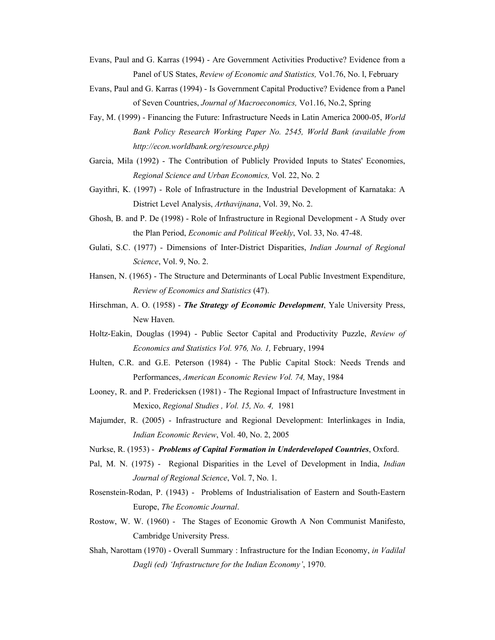- Evans, Paul and G. Karras (1994) Are Government Activities Productive? Evidence from a Panel of US States, Review of Economic and Statistics, Vo1.76, No. 1, February
- Evans, Paul and G. Karras (1994) Is Government Capital Productive? Evidence from a Panel of Seven Countries, Journal of Macroeconomics, Vo1.16, No.2, Spring
- Fay, M. (1999) Financing the Future: Infrastructure Needs in Latin America 2000-05, World Bank Policy Research Working Paper No. 2545, World Bank (available from http://econ.worldbank.org/resource.php)
- Garcia, Mila (1992) The Contribution of Publicly Provided Inputs to States' Economies, Regional Science and Urban Economics, Vol. 22, No. 2
- Gayithri, K. (1997) Role of Infrastructure in the Industrial Development of Karnataka: A District Level Analysis, Arthavijnana, Vol. 39, No. 2.
- Ghosh, B. and P. De (1998) Role of Infrastructure in Regional Development A Study over the Plan Period, *Economic and Political Weekly*, Vol. 33, No. 47-48.
- Gulati, S.C. (1977) Dimensions of Inter-District Disparities, *Indian Journal of Regional* Science, Vol. 9, No. 2.
- Hansen, N. (1965) The Structure and Determinants of Local Public Investment Expenditure, Review of Economics and Statistics (47).
- Hirschman, A. O. (1958) The Strategy of Economic Development, Yale University Press, New Haven.
- Holtz-Eakin, Douglas (1994) Public Sector Capital and Productivity Puzzle, Review of Economics and Statistics Vol. 976, No. 1, February, 1994
- Hulten, C.R. and G.E. Peterson (1984) The Public Capital Stock: Needs Trends and Performances, American Economic Review Vol. 74, May, 1984
- Looney, R. and P. Fredericksen (1981) The Regional Impact of Infrastructure Investment in Mexico, Regional Studies, Vol. 15, No. 4, 1981
- Majumder, R. (2005) Infrastructure and Regional Development: Interlinkages in India, Indian Economic Review, Vol. 40, No. 2, 2005
- Nurkse, R. (1953) Problems of Capital Formation in Underdeveloped Countries, Oxford.
- Pal, M. N. (1975) Regional Disparities in the Level of Development in India, *Indian* Journal of Regional Science, Vol. 7, No. 1.
- Rosenstein-Rodan, P. (1943) Problems of Industrialisation of Eastern and South-Eastern Europe, The Economic Journal.
- Rostow, W. W. (1960) The Stages of Economic Growth A Non Communist Manifesto, Cambridge University Press.
- Shah, Narottam (1970) Overall Summary : Infrastructure for the Indian Economy, in Vadilal Dagli (ed) 'Infrastructure for the Indian Economy', 1970.